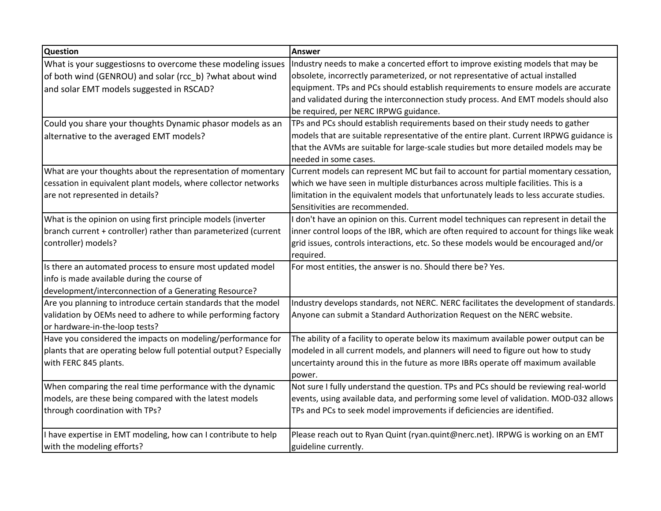| <b>Question</b>                                                   | Answer                                                                                       |
|-------------------------------------------------------------------|----------------------------------------------------------------------------------------------|
| What is your suggestiosns to overcome these modeling issues       | Industry needs to make a concerted effort to improve existing models that may be             |
| of both wind (GENROU) and solar (rcc_b) ?what about wind          | obsolete, incorrectly parameterized, or not representative of actual installed               |
| and solar EMT models suggested in RSCAD?                          | equipment. TPs and PCs should establish requirements to ensure models are accurate           |
|                                                                   | and validated during the interconnection study process. And EMT models should also           |
|                                                                   | be required, per NERC IRPWG guidance.                                                        |
| Could you share your thoughts Dynamic phasor models as an         | TPs and PCs should establish requirements based on their study needs to gather               |
| alternative to the averaged EMT models?                           | models that are suitable representative of the entire plant. Current IRPWG guidance is       |
|                                                                   | that the AVMs are suitable for large-scale studies but more detailed models may be           |
|                                                                   | needed in some cases.                                                                        |
| What are your thoughts about the representation of momentary      | Current models can represent MC but fail to account for partial momentary cessation,         |
| cessation in equivalent plant models, where collector networks    | which we have seen in multiple disturbances across multiple facilities. This is a            |
| are not represented in details?                                   | limitation in the equivalent models that unfortunately leads to less accurate studies.       |
|                                                                   | Sensitivities are recommended.                                                               |
| What is the opinion on using first principle models (inverter     | don't have an opinion on this. Current model techniques can represent in detail the          |
| branch current + controller) rather than parameterized (current   | inner control loops of the IBR, which are often required to account for things like weak $ $ |
| controller) models?                                               | grid issues, controls interactions, etc. So these models would be encouraged and/or          |
|                                                                   | required.                                                                                    |
| Is there an automated process to ensure most updated model        | For most entities, the answer is no. Should there be? Yes.                                   |
| info is made available during the course of                       |                                                                                              |
| development/interconnection of a Generating Resource?             |                                                                                              |
| Are you planning to introduce certain standards that the model    | Industry develops standards, not NERC. NERC facilitates the development of standards.        |
| validation by OEMs need to adhere to while performing factory     | Anyone can submit a Standard Authorization Request on the NERC website.                      |
| or hardware-in-the-loop tests?                                    |                                                                                              |
| Have you considered the impacts on modeling/performance for       | The ability of a facility to operate below its maximum available power output can be         |
| plants that are operating below full potential output? Especially | modeled in all current models, and planners will need to figure out how to study             |
| with FERC 845 plants.                                             | uncertainty around this in the future as more IBRs operate off maximum available             |
|                                                                   | power.                                                                                       |
| When comparing the real time performance with the dynamic         | Not sure I fully understand the question. TPs and PCs should be reviewing real-world         |
| models, are these being compared with the latest models           | events, using available data, and performing some level of validation. MOD-032 allows        |
| through coordination with TPs?                                    | TPs and PCs to seek model improvements if deficiencies are identified.                       |
| I have expertise in EMT modeling, how can I contribute to help    | Please reach out to Ryan Quint (ryan.quint@nerc.net). IRPWG is working on an EMT             |
| with the modeling efforts?                                        | guideline currently.                                                                         |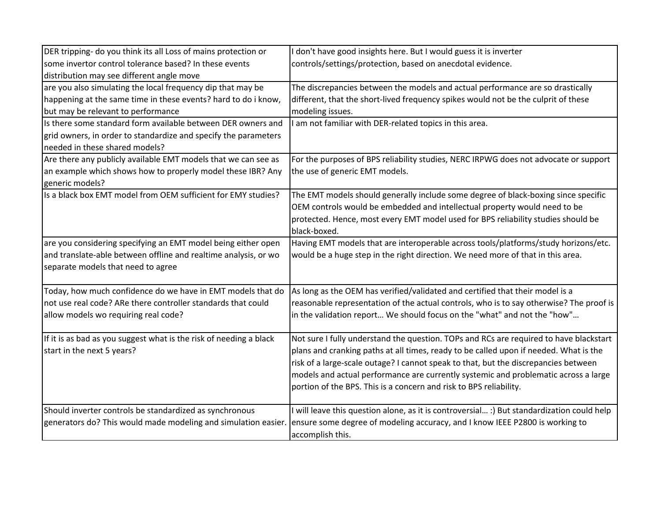| DER tripping- do you think its all Loss of mains protection or     | don't have good insights here. But I would guess it is inverter                            |
|--------------------------------------------------------------------|--------------------------------------------------------------------------------------------|
| some invertor control tolerance based? In these events             | controls/settings/protection, based on anecdotal evidence.                                 |
| distribution may see different angle move                          |                                                                                            |
| are you also simulating the local frequency dip that may be        | The discrepancies between the models and actual performance are so drastically             |
| happening at the same time in these events? hard to do i know,     | different, that the short-lived frequency spikes would not be the culprit of these         |
| but may be relevant to performance                                 | modeling issues.                                                                           |
| Is there some standard form available between DER owners and       | I am not familiar with DER-related topics in this area.                                    |
| grid owners, in order to standardize and specify the parameters    |                                                                                            |
| needed in these shared models?                                     |                                                                                            |
| Are there any publicly available EMT models that we can see as     | For the purposes of BPS reliability studies, NERC IRPWG does not advocate or support       |
| an example which shows how to properly model these IBR? Any        | the use of generic EMT models.                                                             |
| generic models?                                                    |                                                                                            |
| Is a black box EMT model from OEM sufficient for EMY studies?      | The EMT models should generally include some degree of black-boxing since specific         |
|                                                                    | OEM controls would be embedded and intellectual property would need to be                  |
|                                                                    | protected. Hence, most every EMT model used for BPS reliability studies should be          |
|                                                                    | black-boxed.                                                                               |
| are you considering specifying an EMT model being either open      | Having EMT models that are interoperable across tools/platforms/study horizons/etc.        |
| and translate-able between offline and realtime analysis, or wo    | would be a huge step in the right direction. We need more of that in this area.            |
| separate models that need to agree                                 |                                                                                            |
| Today, how much confidence do we have in EMT models that do        | As long as the OEM has verified/validated and certified that their model is a              |
| not use real code? ARe there controller standards that could       |                                                                                            |
|                                                                    | reasonable representation of the actual controls, who is to say otherwise? The proof is    |
| allow models wo requiring real code?                               | in the validation report We should focus on the "what" and not the "how"                   |
| If it is as bad as you suggest what is the risk of needing a black | Not sure I fully understand the question. TOPs and RCs are required to have blackstart     |
| start in the next 5 years?                                         | plans and cranking paths at all times, ready to be called upon if needed. What is the      |
|                                                                    | risk of a large-scale outage? I cannot speak to that, but the discrepancies between        |
|                                                                    | models and actual performance are currently systemic and problematic across a large        |
|                                                                    | portion of the BPS. This is a concern and risk to BPS reliability.                         |
|                                                                    |                                                                                            |
| Should inverter controls be standardized as synchronous            | I will leave this question alone, as it is controversial :) But standardization could help |
| generators do? This would made modeling and simulation easier.     | ensure some degree of modeling accuracy, and I know IEEE P2800 is working to               |
|                                                                    | accomplish this.                                                                           |